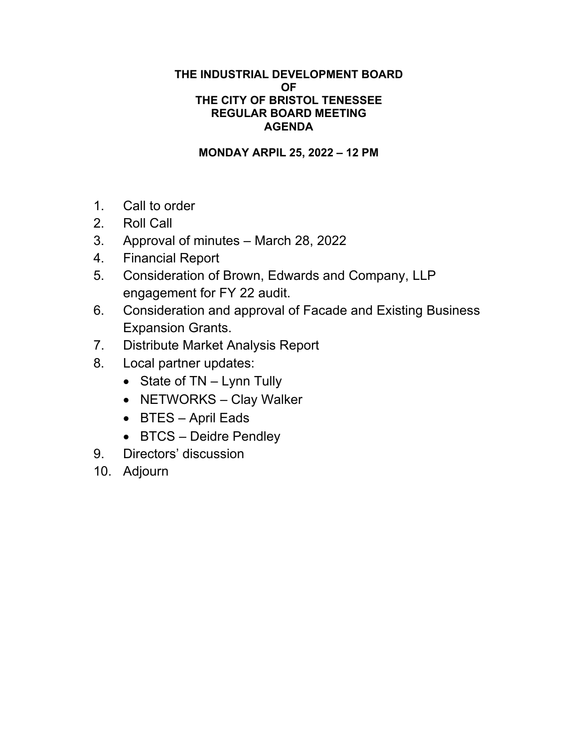# **THE INDUSTRIAL DEVELOPMENT BOARD OF THE CITY OF BRISTOL TENESSEE REGULAR BOARD MEETING AGENDA**

**MONDAY ARPIL 25, 2022 – 12 PM** 

- 1. Call to order
- 2. Roll Call
- 3. Approval of minutes March 28, 2022
- 4. Financial Report
- 5. Consideration of Brown, Edwards and Company, LLP engagement for FY 22 audit.
- 6. Consideration and approval of Facade and Existing Business Expansion Grants.
- 7. Distribute Market Analysis Report
- 8. Local partner updates:
	- $\bullet$  State of TN Lynn Tully
	- NETWORKS Clay Walker
	- BTES April Eads
	- BTCS Deidre Pendley
- 9. Directors' discussion
- 10. Adjourn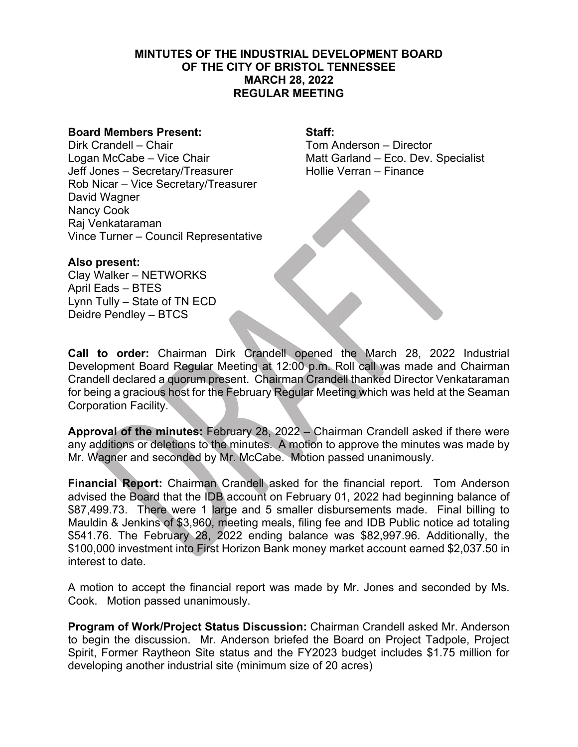# **MINTUTES OF THE INDUSTRIAL DEVELOPMENT BOARD OF THE CITY OF BRISTOL TENNESSEE MARCH 28, 2022 REGULAR MEETING**

## **Board Members Present: Staff:**

Dirk Crandell – Chair The Chair Tom Anderson – Director Logan McCabe – Vice Chair Matt Garland – Eco. Dev. Specialist Jeff Jones – Secretary/Treasurer Hollie Verran – Finance Rob Nicar – Vice Secretary/Treasurer David Wagner Nancy Cook Raj Venkataraman Vince Turner – Council Representative

**Also present:**  Clay Walker – NETWORKS April Eads – BTES Lynn Tully – State of TN ECD Deidre Pendley – BTCS

**Call to order:** Chairman Dirk Crandell opened the March 28, 2022 Industrial Development Board Regular Meeting at 12:00 p.m. Roll call was made and Chairman Crandell declared a quorum present. Chairman Crandell thanked Director Venkataraman for being a gracious host for the February Regular Meeting which was held at the Seaman Corporation Facility.

**Approval of the minutes:** February 28, 2022 – Chairman Crandell asked if there were any additions or deletions to the minutes. A motion to approve the minutes was made by Mr. Wagner and seconded by Mr. McCabe. Motion passed unanimously.

**Financial Report:** Chairman Crandell asked for the financial report. Tom Anderson advised the Board that the IDB account on February 01, 2022 had beginning balance of \$87,499.73. There were 1 large and 5 smaller disbursements made. Final billing to Mauldin & Jenkins of \$3,960, meeting meals, filing fee and IDB Public notice ad totaling \$541.76. The February 28, 2022 ending balance was \$82,997.96. Additionally, the \$100,000 investment into First Horizon Bank money market account earned \$2,037.50 in interest to date.

A motion to accept the financial report was made by Mr. Jones and seconded by Ms. Cook. Motion passed unanimously.

**Program of Work/Project Status Discussion:** Chairman Crandell asked Mr. Anderson to begin the discussion. Mr. Anderson briefed the Board on Project Tadpole, Project Spirit, Former Raytheon Site status and the FY2023 budget includes \$1.75 million for developing another industrial site (minimum size of 20 acres)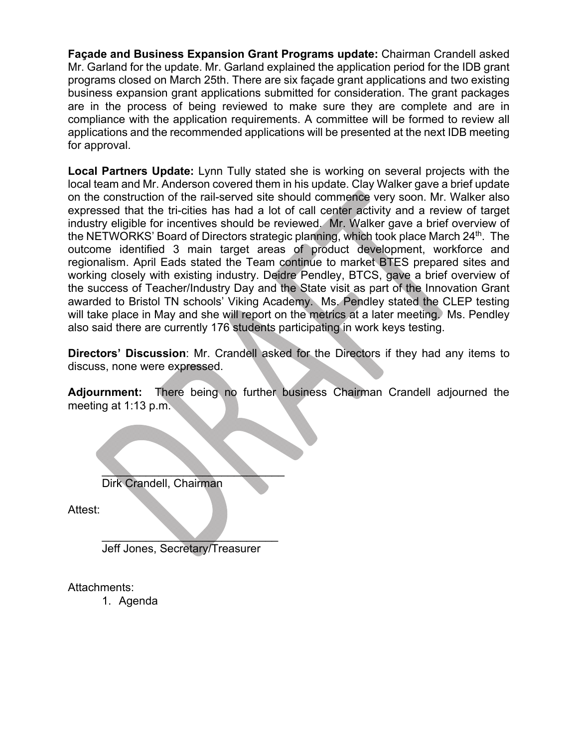**Façade and Business Expansion Grant Programs update:** Chairman Crandell asked Mr. Garland for the update. Mr. Garland explained the application period for the IDB grant programs closed on March 25th. There are six façade grant applications and two existing business expansion grant applications submitted for consideration. The grant packages are in the process of being reviewed to make sure they are complete and are in compliance with the application requirements. A committee will be formed to review all applications and the recommended applications will be presented at the next IDB meeting for approval.

**Local Partners Update:** Lynn Tully stated she is working on several projects with the local team and Mr. Anderson covered them in his update. Clay Walker gave a brief update on the construction of the rail-served site should commence very soon. Mr. Walker also expressed that the tri-cities has had a lot of call center activity and a review of target industry eligible for incentives should be reviewed. Mr. Walker gave a brief overview of the NETWORKS' Board of Directors strategic planning, which took place March 24<sup>th</sup>. The outcome identified 3 main target areas of product development, workforce and regionalism. April Eads stated the Team continue to market BTES prepared sites and working closely with existing industry. Deidre Pendley, BTCS, gave a brief overview of the success of Teacher/Industry Day and the State visit as part of the Innovation Grant awarded to Bristol TN schools' Viking Academy. Ms. Pendley stated the CLEP testing will take place in May and she will report on the metrics at a later meeting. Ms. Pendley also said there are currently 176 students participating in work keys testing.

**Directors' Discussion**: Mr. Crandell asked for the Directors if they had any items to discuss, none were expressed.

**Adjournment:** There being no further business Chairman Crandell adjourned the meeting at 1:13 p.m.

 $\mathcal{L}$  , where  $\mathcal{L}$ Dirk Crandell, Chairman

Attest:

 $\mathcal{L}$  , we can also the contract of the contract of the contract of the contract of the contract of the contract of the contract of the contract of the contract of the contract of the contract of the contract of the co Jeff Jones, Secretary/Treasurer

Attachments:

1. Agenda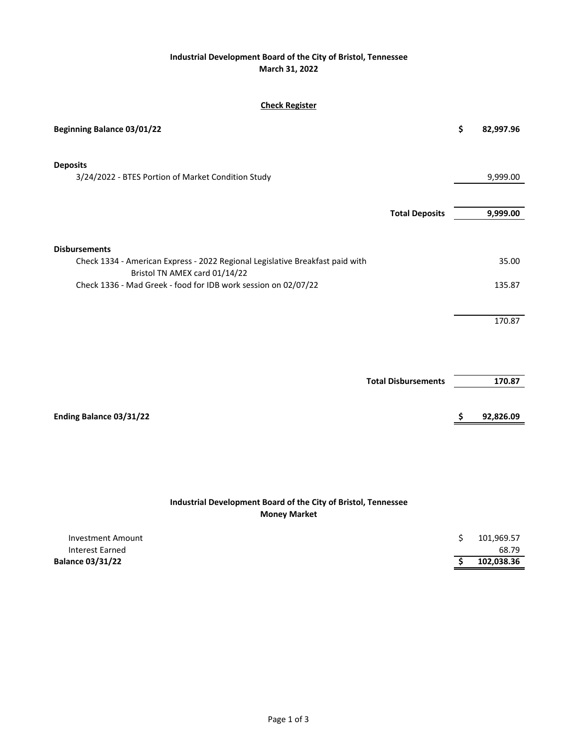### **Industrial Development Board of the City of Bristol, Tennessee March 31, 2022**

### **Check Register**

| <b>Beginning Balance 03/01/22</b>                                                                     | \$<br>82,997.96 |
|-------------------------------------------------------------------------------------------------------|-----------------|
| <b>Deposits</b><br>3/24/2022 - BTES Portion of Market Condition Study                                 | 9,999.00        |
| <b>Total Deposits</b>                                                                                 | 9,999.00        |
| <b>Disbursements</b><br>Check 1334 - American Express - 2022 Regional Legislative Breakfast paid with | 35.00           |
| Bristol TN AMEX card 01/14/22<br>Check 1336 - Mad Greek - food for IDB work session on 02/07/22       | 135.87          |
|                                                                                                       |                 |
|                                                                                                       | 170.87          |
|                                                                                                       |                 |
| <b>Total Disbursements</b>                                                                            | 170.87          |
| Ending Balance 03/31/22                                                                               | \$<br>92,826.09 |
|                                                                                                       |                 |

## **Industrial Development Board of the City of Bristol, Tennessee Money Market**

| Interest Earned         | 68.79      |
|-------------------------|------------|
| <b>Balance 03/31/22</b> | 102,038.36 |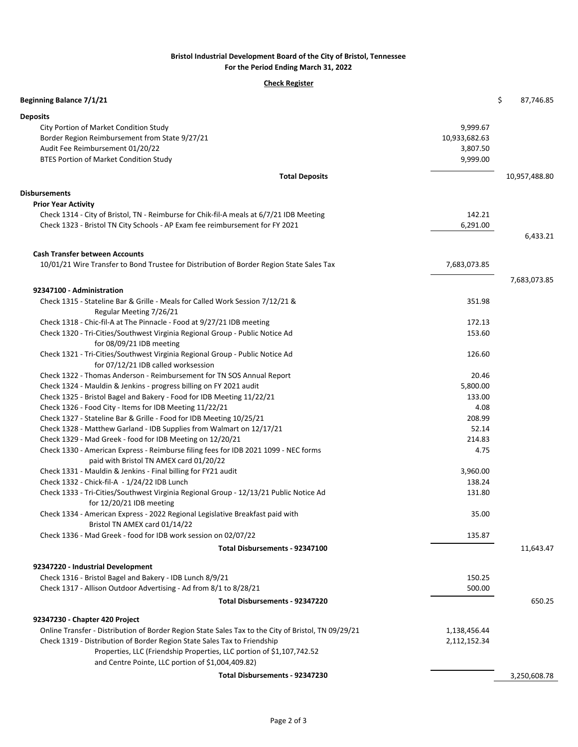#### **Bristol Industrial Development Board of the City of Bristol, Tennessee For the Period Ending March 31, 2022**

#### **Check Register**

| Beginning Balance 7/1/21                                                                            |               | \$<br>87,746.85 |
|-----------------------------------------------------------------------------------------------------|---------------|-----------------|
| <b>Deposits</b>                                                                                     |               |                 |
| City Portion of Market Condition Study                                                              | 9,999.67      |                 |
| Border Region Reimbursement from State 9/27/21                                                      | 10,933,682.63 |                 |
| Audit Fee Reimbursement 01/20/22                                                                    | 3,807.50      |                 |
| <b>BTES Portion of Market Condition Study</b>                                                       | 9,999.00      |                 |
| <b>Total Deposits</b>                                                                               |               | 10,957,488.80   |
| Disbursements                                                                                       |               |                 |
| <b>Prior Year Activity</b>                                                                          |               |                 |
| Check 1314 - City of Bristol, TN - Reimburse for Chik-fil-A meals at 6/7/21 IDB Meeting             | 142.21        |                 |
| Check 1323 - Bristol TN City Schools - AP Exam fee reimbursement for FY 2021                        | 6,291.00      |                 |
|                                                                                                     |               | 6,433.21        |
| <b>Cash Transfer between Accounts</b>                                                               |               |                 |
| 10/01/21 Wire Transfer to Bond Trustee for Distribution of Border Region State Sales Tax            | 7,683,073.85  |                 |
|                                                                                                     |               | 7,683,073.85    |
| 92347100 - Administration                                                                           |               |                 |
| Check 1315 - Stateline Bar & Grille - Meals for Called Work Session 7/12/21 &                       | 351.98        |                 |
| Regular Meeting 7/26/21                                                                             |               |                 |
| Check 1318 - Chic-fil-A at The Pinnacle - Food at 9/27/21 IDB meeting                               | 172.13        |                 |
| Check 1320 - Tri-Cities/Southwest Virginia Regional Group - Public Notice Ad                        | 153.60        |                 |
| for 08/09/21 IDB meeting                                                                            |               |                 |
| Check 1321 - Tri-Cities/Southwest Virginia Regional Group - Public Notice Ad                        | 126.60        |                 |
| for 07/12/21 IDB called worksession                                                                 |               |                 |
| Check 1322 - Thomas Anderson - Reimbursement for TN SOS Annual Report                               | 20.46         |                 |
| Check 1324 - Mauldin & Jenkins - progress billing on FY 2021 audit                                  | 5,800.00      |                 |
| Check 1325 - Bristol Bagel and Bakery - Food for IDB Meeting 11/22/21                               | 133.00        |                 |
| Check 1326 - Food City - Items for IDB Meeting 11/22/21                                             | 4.08          |                 |
| Check 1327 - Stateline Bar & Grille - Food for IDB Meeting 10/25/21                                 | 208.99        |                 |
| Check 1328 - Matthew Garland - IDB Supplies from Walmart on 12/17/21                                | 52.14         |                 |
| Check 1329 - Mad Greek - food for IDB Meeting on 12/20/21                                           | 214.83        |                 |
| Check 1330 - American Express - Reimburse filing fees for IDB 2021 1099 - NEC forms                 | 4.75          |                 |
| paid with Bristol TN AMEX card 01/20/22                                                             |               |                 |
| Check 1331 - Mauldin & Jenkins - Final billing for FY21 audit                                       | 3,960.00      |                 |
| Check 1332 - Chick-fil-A - 1/24/22 IDB Lunch                                                        | 138.24        |                 |
| Check 1333 - Tri-Cities/Southwest Virginia Regional Group - 12/13/21 Public Notice Ad               | 131.80        |                 |
| for 12/20/21 IDB meeting                                                                            |               |                 |
| Check 1334 - American Express - 2022 Regional Legislative Breakfast paid with                       | 35.00         |                 |
| Bristol TN AMEX card 01/14/22                                                                       |               |                 |
| Check 1336 - Mad Greek - food for IDB work session on 02/07/22                                      | 135.87        |                 |
| Total Disbursements - 92347100                                                                      |               | 11,643.47       |
| 92347220 - Industrial Development                                                                   |               |                 |
| Check 1316 - Bristol Bagel and Bakery - IDB Lunch 8/9/21                                            | 150.25        |                 |
| Check 1317 - Allison Outdoor Advertising - Ad from 8/1 to 8/28/21                                   | 500.00        |                 |
| Total Disbursements - 92347220                                                                      |               | 650.25          |
|                                                                                                     |               |                 |
| 92347230 - Chapter 420 Project                                                                      |               |                 |
| Online Transfer - Distribution of Border Region State Sales Tax to the City of Bristol, TN 09/29/21 | 1,138,456.44  |                 |
| Check 1319 - Distribution of Border Region State Sales Tax to Friendship                            | 2,112,152.34  |                 |
| Properties, LLC (Friendship Properties, LLC portion of \$1,107,742.52                               |               |                 |
| and Centre Pointe, LLC portion of \$1,004,409.82)                                                   |               |                 |
| Total Disbursements - 92347230                                                                      |               | 3,250,608.78    |